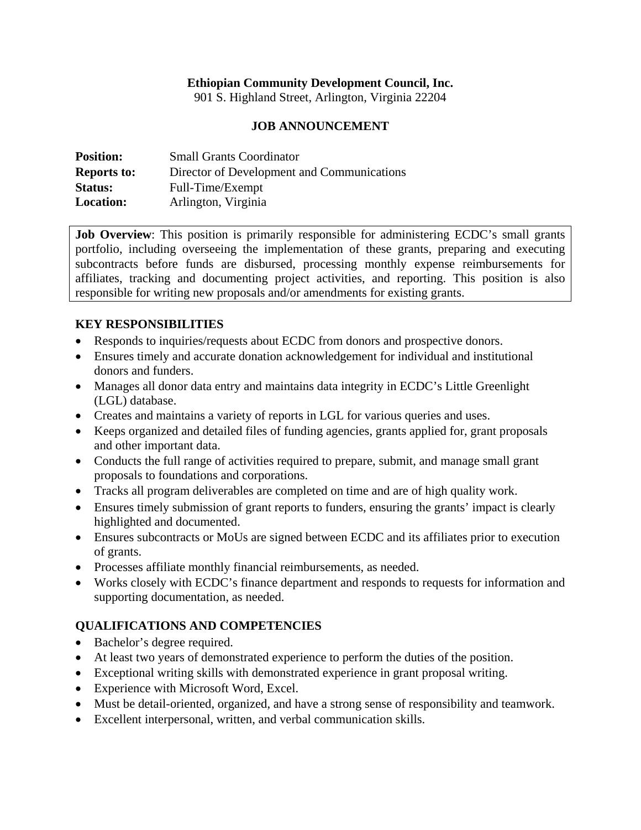### **Ethiopian Community Development Council, Inc.**

901 S. Highland Street, Arlington, Virginia 22204

#### **JOB ANNOUNCEMENT**

| <b>Position:</b>   | <b>Small Grants Coordinator</b>            |
|--------------------|--------------------------------------------|
| <b>Reports to:</b> | Director of Development and Communications |
| <b>Status:</b>     | Full-Time/Exempt                           |
| <b>Location:</b>   | Arlington, Virginia                        |

**Job Overview**: This position is primarily responsible for administering ECDC's small grants portfolio, including overseeing the implementation of these grants, preparing and executing subcontracts before funds are disbursed, processing monthly expense reimbursements for affiliates, tracking and documenting project activities, and reporting. This position is also responsible for writing new proposals and/or amendments for existing grants.

### **KEY RESPONSIBILITIES**

- Responds to inquiries/requests about ECDC from donors and prospective donors.
- Ensures timely and accurate donation acknowledgement for individual and institutional donors and funders.
- Manages all donor data entry and maintains data integrity in ECDC's Little Greenlight (LGL) database.
- Creates and maintains a variety of reports in LGL for various queries and uses.
- Keeps organized and detailed files of funding agencies, grants applied for, grant proposals and other important data.
- Conducts the full range of activities required to prepare, submit, and manage small grant proposals to foundations and corporations.
- Tracks all program deliverables are completed on time and are of high quality work.
- Ensures timely submission of grant reports to funders, ensuring the grants' impact is clearly highlighted and documented.
- Ensures subcontracts or MoUs are signed between ECDC and its affiliates prior to execution of grants.
- Processes affiliate monthly financial reimbursements, as needed.
- Works closely with ECDC's finance department and responds to requests for information and supporting documentation, as needed.

## **QUALIFICATIONS AND COMPETENCIES**

- Bachelor's degree required.
- At least two years of demonstrated experience to perform the duties of the position.
- Exceptional writing skills with demonstrated experience in grant proposal writing.
- Experience with Microsoft Word, Excel.
- Must be detail-oriented, organized, and have a strong sense of responsibility and teamwork.
- Excellent interpersonal, written, and verbal communication skills.